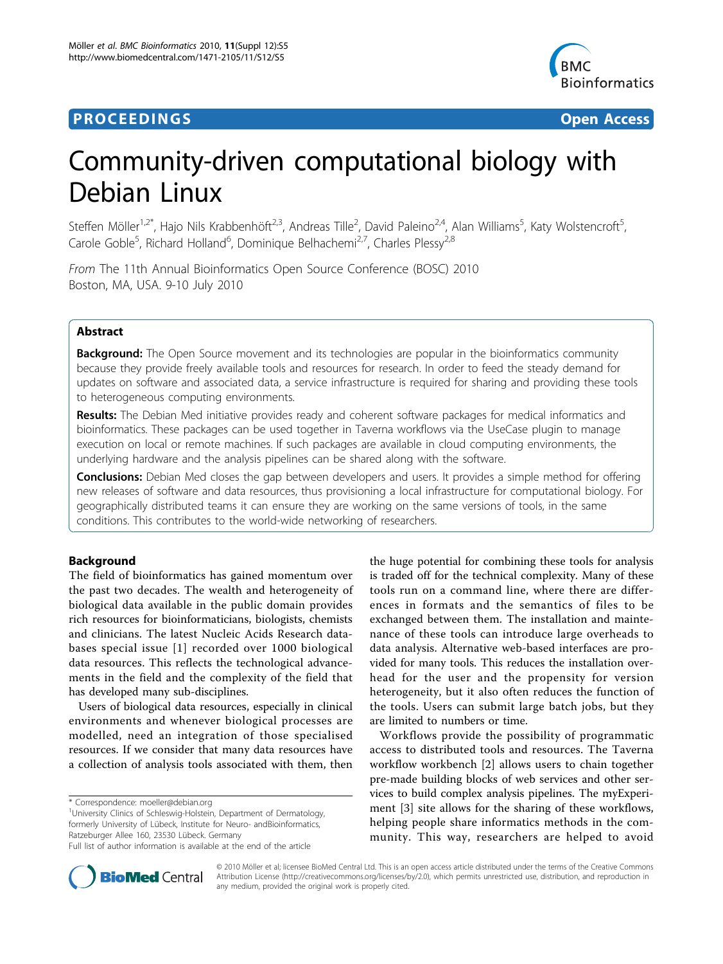## **PROCEEDINGS STATE ACCESS CONSUMING SECTION CONSUMING SECTION CONSUMING SECTION CONSUMING SECTION CONSUMING SECTION CONSUMING SECTION CONSUMING SECTION CONSUMING SECTION CONSUMING SECTION CONSUMING SECTION CONSUMING SE**



# Community-driven computational biology with Debian Linux

Steffen Möller<sup>1,2\*</sup>, Hajo Nils Krabbenhöft<sup>2,3</sup>, Andreas Tille<sup>2</sup>, David Paleino<sup>2,4</sup>, Alan Williams<sup>5</sup>, Katy Wolstencroft<sup>5</sup> , Carole Goble<sup>5</sup>, Richard Holland<sup>6</sup>, Dominique Belhachemi<sup>2,7</sup>, Charles Plessy<sup>2,8</sup>

From The 11th Annual Bioinformatics Open Source Conference (BOSC) 2010 Boston, MA, USA. 9-10 July 2010

## Abstract

**Background:** The Open Source movement and its technologies are popular in the bioinformatics community because they provide freely available tools and resources for research. In order to feed the steady demand for updates on software and associated data, a service infrastructure is required for sharing and providing these tools to heterogeneous computing environments.

Results: The Debian Med initiative provides ready and coherent software packages for medical informatics and bioinformatics. These packages can be used together in Taverna workflows via the UseCase plugin to manage execution on local or remote machines. If such packages are available in cloud computing environments, the underlying hardware and the analysis pipelines can be shared along with the software.

**Conclusions:** Debian Med closes the gap between developers and users. It provides a simple method for offering new releases of software and data resources, thus provisioning a local infrastructure for computational biology. For geographically distributed teams it can ensure they are working on the same versions of tools, in the same conditions. This contributes to the world-wide networking of researchers.

## Background

The field of bioinformatics has gained momentum over the past two decades. The wealth and heterogeneity of biological data available in the public domain provides rich resources for bioinformaticians, biologists, chemists and clinicians. The latest Nucleic Acids Research databases special issue [[1](#page-5-0)] recorded over 1000 biological data resources. This reflects the technological advancements in the field and the complexity of the field that has developed many sub-disciplines.

Users of biological data resources, especially in clinical environments and whenever biological processes are modelled, need an integration of those specialised resources. If we consider that many data resources have a collection of analysis tools associated with them, then

\* Correspondence: [moeller@debian.org](mailto:moeller@debian.org)

<sup>1</sup>University Clinics of Schleswig-Holstein, Department of Dermatology, formerly University of Lübeck, Institute for Neuro- andBioinformatics, Ratzeburger Allee 160, 23530 Lübeck. Germany

the huge potential for combining these tools for analysis is traded off for the technical complexity. Many of these tools run on a command line, where there are differences in formats and the semantics of files to be exchanged between them. The installation and maintenance of these tools can introduce large overheads to data analysis. Alternative web-based interfaces are provided for many tools. This reduces the installation overhead for the user and the propensity for version heterogeneity, but it also often reduces the function of the tools. Users can submit large batch jobs, but they are limited to numbers or time.

Workflows provide the possibility of programmatic access to distributed tools and resources. The Taverna workflow workbench [[2\]](#page-5-0) allows users to chain together pre-made building blocks of web services and other services to build complex analysis pipelines. The myExperiment [[3\]](#page-5-0) site allows for the sharing of these workflows, helping people share informatics methods in the community. This way, researchers are helped to avoid



© 2010 Möller et al; licensee BioMed Central Ltd. This is an open access article distributed under the terms of the Creative Commons Attribution License [\(http://creativecommons.org/licenses/by/2.0](http://creativecommons.org/licenses/by/2.0)), which permits unrestricted use, distribution, and reproduction in any medium, provided the original work is properly cited.

Full list of author information is available at the end of the article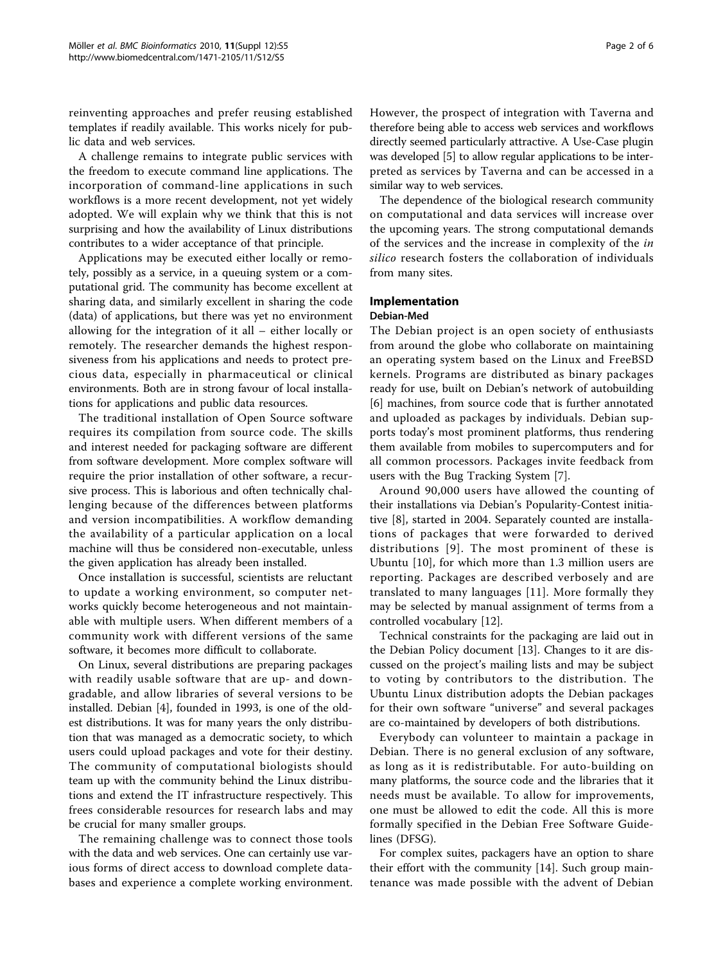reinventing approaches and prefer reusing established templates if readily available. This works nicely for public data and web services.

A challenge remains to integrate public services with the freedom to execute command line applications. The incorporation of command-line applications in such workflows is a more recent development, not yet widely adopted. We will explain why we think that this is not surprising and how the availability of Linux distributions contributes to a wider acceptance of that principle.

Applications may be executed either locally or remotely, possibly as a service, in a queuing system or a computational grid. The community has become excellent at sharing data, and similarly excellent in sharing the code (data) of applications, but there was yet no environment allowing for the integration of it all – either locally or remotely. The researcher demands the highest responsiveness from his applications and needs to protect precious data, especially in pharmaceutical or clinical environments. Both are in strong favour of local installations for applications and public data resources.

The traditional installation of Open Source software requires its compilation from source code. The skills and interest needed for packaging software are different from software development. More complex software will require the prior installation of other software, a recursive process. This is laborious and often technically challenging because of the differences between platforms and version incompatibilities. A workflow demanding the availability of a particular application on a local machine will thus be considered non-executable, unless the given application has already been installed.

Once installation is successful, scientists are reluctant to update a working environment, so computer networks quickly become heterogeneous and not maintainable with multiple users. When different members of a community work with different versions of the same software, it becomes more difficult to collaborate.

On Linux, several distributions are preparing packages with readily usable software that are up- and downgradable, and allow libraries of several versions to be installed. Debian [[4\]](#page-5-0), founded in 1993, is one of the oldest distributions. It was for many years the only distribution that was managed as a democratic society, to which users could upload packages and vote for their destiny. The community of computational biologists should team up with the community behind the Linux distributions and extend the IT infrastructure respectively. This frees considerable resources for research labs and may be crucial for many smaller groups.

The remaining challenge was to connect those tools with the data and web services. One can certainly use various forms of direct access to download complete databases and experience a complete working environment. However, the prospect of integration with Taverna and therefore being able to access web services and workflows directly seemed particularly attractive. A Use-Case plugin was developed [[5\]](#page-5-0) to allow regular applications to be interpreted as services by Taverna and can be accessed in a similar way to web services.

The dependence of the biological research community on computational and data services will increase over the upcoming years. The strong computational demands of the services and the increase in complexity of the in silico research fosters the collaboration of individuals from many sites.

## Implementation

#### Debian-Med

The Debian project is an open society of enthusiasts from around the globe who collaborate on maintaining an operating system based on the Linux and FreeBSD kernels. Programs are distributed as binary packages ready for use, built on Debian's network of autobuilding [[6\]](#page-5-0) machines, from source code that is further annotated and uploaded as packages by individuals. Debian supports today's most prominent platforms, thus rendering them available from mobiles to supercomputers and for all common processors. Packages invite feedback from users with the Bug Tracking System [[7\]](#page-5-0).

Around 90,000 users have allowed the counting of their installations via Debian's Popularity-Contest initiative [\[8\]](#page-5-0), started in 2004. Separately counted are installations of packages that were forwarded to derived distributions [[9](#page-5-0)]. The most prominent of these is Ubuntu [\[10](#page-5-0)], for which more than 1.3 million users are reporting. Packages are described verbosely and are translated to many languages [[11\]](#page-5-0). More formally they may be selected by manual assignment of terms from a controlled vocabulary [\[12](#page-5-0)].

Technical constraints for the packaging are laid out in the Debian Policy document [[13\]](#page-5-0). Changes to it are discussed on the project's mailing lists and may be subject to voting by contributors to the distribution. The Ubuntu Linux distribution adopts the Debian packages for their own software "universe" and several packages are co-maintained by developers of both distributions.

Everybody can volunteer to maintain a package in Debian. There is no general exclusion of any software, as long as it is redistributable. For auto-building on many platforms, the source code and the libraries that it needs must be available. To allow for improvements, one must be allowed to edit the code. All this is more formally specified in the Debian Free Software Guidelines (DFSG).

For complex suites, packagers have an option to share their effort with the community [[14](#page-5-0)]. Such group maintenance was made possible with the advent of Debian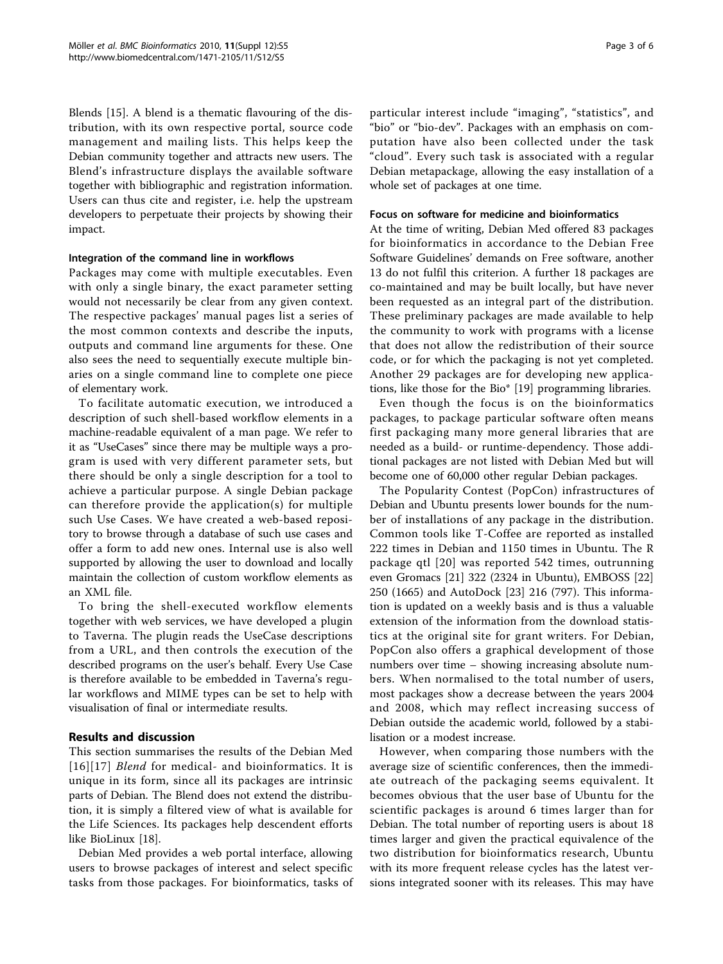Blends [[15\]](#page-5-0). A blend is a thematic flavouring of the distribution, with its own respective portal, source code management and mailing lists. This helps keep the Debian community together and attracts new users. The Blend's infrastructure displays the available software together with bibliographic and registration information. Users can thus cite and register, i.e. help the upstream developers to perpetuate their projects by showing their impact.

### Integration of the command line in workflows

Packages may come with multiple executables. Even with only a single binary, the exact parameter setting would not necessarily be clear from any given context. The respective packages' manual pages list a series of the most common contexts and describe the inputs, outputs and command line arguments for these. One also sees the need to sequentially execute multiple binaries on a single command line to complete one piece of elementary work.

To facilitate automatic execution, we introduced a description of such shell-based workflow elements in a machine-readable equivalent of a man page. We refer to it as "UseCases" since there may be multiple ways a program is used with very different parameter sets, but there should be only a single description for a tool to achieve a particular purpose. A single Debian package can therefore provide the application(s) for multiple such Use Cases. We have created a web-based repository to browse through a database of such use cases and offer a form to add new ones. Internal use is also well supported by allowing the user to download and locally maintain the collection of custom workflow elements as an XML file.

To bring the shell-executed workflow elements together with web services, we have developed a plugin to Taverna. The plugin reads the UseCase descriptions from a URL, and then controls the execution of the described programs on the user's behalf. Every Use Case is therefore available to be embedded in Taverna's regular workflows and MIME types can be set to help with visualisation of final or intermediate results.

## Results and discussion

This section summarises the results of the Debian Med [[16\]](#page-5-0)[[17](#page-5-0)] *Blend* for medical- and bioinformatics. It is unique in its form, since all its packages are intrinsic parts of Debian. The Blend does not extend the distribution, it is simply a filtered view of what is available for the Life Sciences. Its packages help descendent efforts like BioLinux [[18](#page-5-0)].

Debian Med provides a web portal interface, allowing users to browse packages of interest and select specific tasks from those packages. For bioinformatics, tasks of particular interest include "imaging", "statistics", and "bio" or "bio-dev". Packages with an emphasis on computation have also been collected under the task "cloud". Every such task is associated with a regular Debian metapackage, allowing the easy installation of a whole set of packages at one time.

### Focus on software for medicine and bioinformatics

At the time of writing, Debian Med offered 83 packages for bioinformatics in accordance to the Debian Free Software Guidelines' demands on Free software, another 13 do not fulfil this criterion. A further 18 packages are co-maintained and may be built locally, but have never been requested as an integral part of the distribution. These preliminary packages are made available to help the community to work with programs with a license that does not allow the redistribution of their source code, or for which the packaging is not yet completed. Another 29 packages are for developing new applications, like those for the Bio\* [[19\]](#page-5-0) programming libraries.

Even though the focus is on the bioinformatics packages, to package particular software often means first packaging many more general libraries that are needed as a build- or runtime-dependency. Those additional packages are not listed with Debian Med but will become one of 60,000 other regular Debian packages.

The Popularity Contest (PopCon) infrastructures of Debian and Ubuntu presents lower bounds for the number of installations of any package in the distribution. Common tools like T-Coffee are reported as installed 222 times in Debian and 1150 times in Ubuntu. The R package qtl [[20\]](#page-5-0) was reported 542 times, outrunning even Gromacs [[21\]](#page-5-0) 322 (2324 in Ubuntu), EMBOSS [[22](#page-5-0)] 250 (1665) and AutoDock [[23\]](#page-5-0) 216 (797). This information is updated on a weekly basis and is thus a valuable extension of the information from the download statistics at the original site for grant writers. For Debian, PopCon also offers a graphical development of those numbers over time – showing increasing absolute numbers. When normalised to the total number of users, most packages show a decrease between the years 2004 and 2008, which may reflect increasing success of Debian outside the academic world, followed by a stabilisation or a modest increase.

However, when comparing those numbers with the average size of scientific conferences, then the immediate outreach of the packaging seems equivalent. It becomes obvious that the user base of Ubuntu for the scientific packages is around 6 times larger than for Debian. The total number of reporting users is about 18 times larger and given the practical equivalence of the two distribution for bioinformatics research, Ubuntu with its more frequent release cycles has the latest versions integrated sooner with its releases. This may have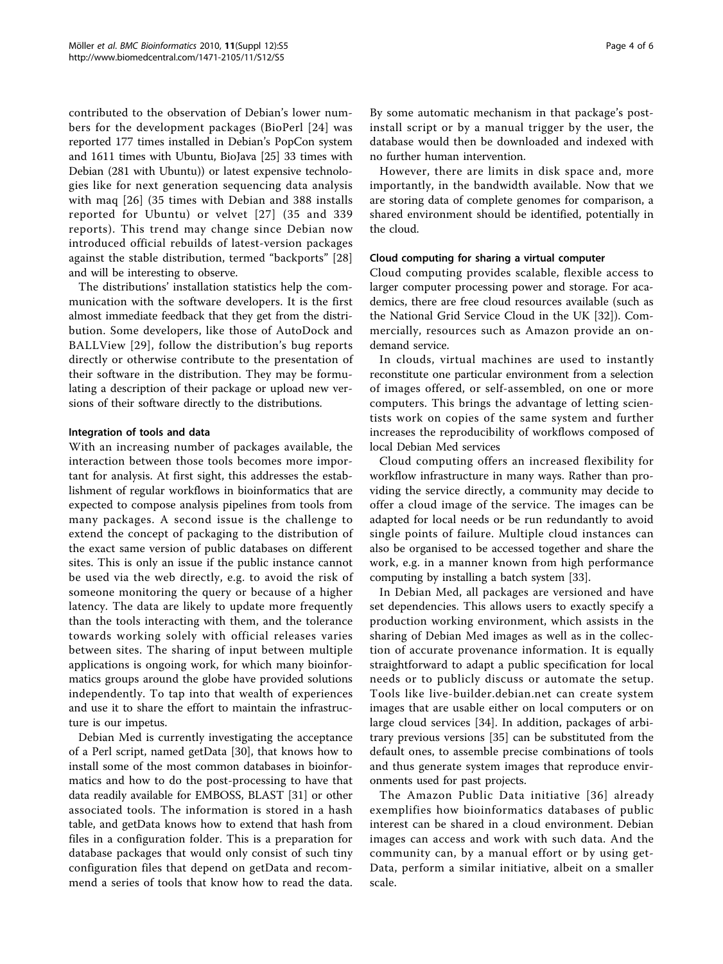contributed to the observation of Debian's lower numbers for the development packages (BioPerl [[24\]](#page-5-0) was reported 177 times installed in Debian's PopCon system and 1611 times with Ubuntu, BioJava [[25\]](#page-5-0) 33 times with Debian (281 with Ubuntu)) or latest expensive technologies like for next generation sequencing data analysis with maq [[26\]](#page-5-0) (35 times with Debian and 388 installs reported for Ubuntu) or velvet [[27](#page-5-0)] (35 and 339 reports). This trend may change since Debian now introduced official rebuilds of latest-version packages against the stable distribution, termed "backports" [\[28](#page-5-0)] and will be interesting to observe.

The distributions' installation statistics help the communication with the software developers. It is the first almost immediate feedback that they get from the distribution. Some developers, like those of AutoDock and BALLView [[29](#page-5-0)], follow the distribution's bug reports directly or otherwise contribute to the presentation of their software in the distribution. They may be formulating a description of their package or upload new versions of their software directly to the distributions.

### Integration of tools and data

With an increasing number of packages available, the interaction between those tools becomes more important for analysis. At first sight, this addresses the establishment of regular workflows in bioinformatics that are expected to compose analysis pipelines from tools from many packages. A second issue is the challenge to extend the concept of packaging to the distribution of the exact same version of public databases on different sites. This is only an issue if the public instance cannot be used via the web directly, e.g. to avoid the risk of someone monitoring the query or because of a higher latency. The data are likely to update more frequently than the tools interacting with them, and the tolerance towards working solely with official releases varies between sites. The sharing of input between multiple applications is ongoing work, for which many bioinformatics groups around the globe have provided solutions independently. To tap into that wealth of experiences and use it to share the effort to maintain the infrastructure is our impetus.

Debian Med is currently investigating the acceptance of a Perl script, named getData [[30\]](#page-5-0), that knows how to install some of the most common databases in bioinformatics and how to do the post-processing to have that data readily available for EMBOSS, BLAST [[31](#page-5-0)] or other associated tools. The information is stored in a hash table, and getData knows how to extend that hash from files in a configuration folder. This is a preparation for database packages that would only consist of such tiny configuration files that depend on getData and recommend a series of tools that know how to read the data.

By some automatic mechanism in that package's postinstall script or by a manual trigger by the user, the database would then be downloaded and indexed with no further human intervention.

However, there are limits in disk space and, more importantly, in the bandwidth available. Now that we are storing data of complete genomes for comparison, a shared environment should be identified, potentially in the cloud.

### Cloud computing for sharing a virtual computer

Cloud computing provides scalable, flexible access to larger computer processing power and storage. For academics, there are free cloud resources available (such as the National Grid Service Cloud in the UK [[32\]](#page-5-0)). Commercially, resources such as Amazon provide an ondemand service.

In clouds, virtual machines are used to instantly reconstitute one particular environment from a selection of images offered, or self-assembled, on one or more computers. This brings the advantage of letting scientists work on copies of the same system and further increases the reproducibility of workflows composed of local Debian Med services

Cloud computing offers an increased flexibility for workflow infrastructure in many ways. Rather than providing the service directly, a community may decide to offer a cloud image of the service. The images can be adapted for local needs or be run redundantly to avoid single points of failure. Multiple cloud instances can also be organised to be accessed together and share the work, e.g. in a manner known from high performance computing by installing a batch system [[33\]](#page-5-0).

In Debian Med, all packages are versioned and have set dependencies. This allows users to exactly specify a production working environment, which assists in the sharing of Debian Med images as well as in the collection of accurate provenance information. It is equally straightforward to adapt a public specification for local needs or to publicly discuss or automate the setup. Tools like live-builder.debian.net can create system images that are usable either on local computers or on large cloud services [[34\]](#page-5-0). In addition, packages of arbitrary previous versions [\[35](#page-5-0)] can be substituted from the default ones, to assemble precise combinations of tools and thus generate system images that reproduce environments used for past projects.

The Amazon Public Data initiative [[36\]](#page-5-0) already exemplifies how bioinformatics databases of public interest can be shared in a cloud environment. Debian images can access and work with such data. And the community can, by a manual effort or by using get-Data, perform a similar initiative, albeit on a smaller scale.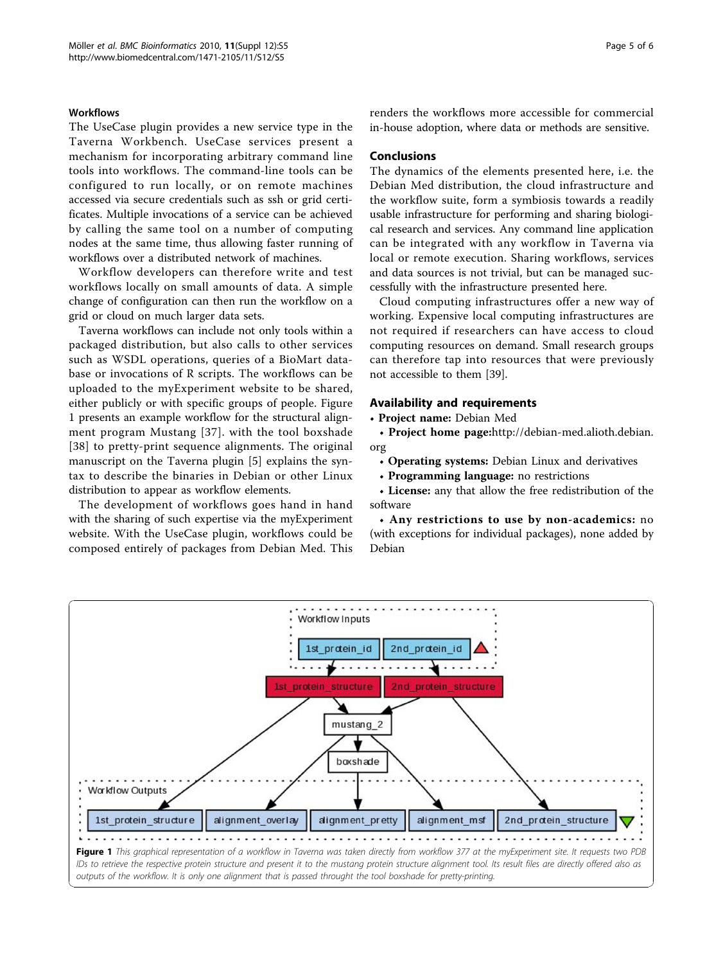## **Workflows**

The UseCase plugin provides a new service type in the Taverna Workbench. UseCase services present a mechanism for incorporating arbitrary command line tools into workflows. The command-line tools can be configured to run locally, or on remote machines accessed via secure credentials such as ssh or grid certificates. Multiple invocations of a service can be achieved by calling the same tool on a number of computing nodes at the same time, thus allowing faster running of workflows over a distributed network of machines.

Workflow developers can therefore write and test workflows locally on small amounts of data. A simple change of configuration can then run the workflow on a grid or cloud on much larger data sets.

Taverna workflows can include not only tools within a packaged distribution, but also calls to other services such as WSDL operations, queries of a BioMart database or invocations of R scripts. The workflows can be uploaded to the myExperiment website to be shared, either publicly or with specific groups of people. Figure 1 presents an example workflow for the structural alignment program Mustang [[37](#page-5-0)]. with the tool boxshade [[38](#page-5-0)] to pretty-print sequence alignments. The original manuscript on the Taverna plugin [[5\]](#page-5-0) explains the syntax to describe the binaries in Debian or other Linux distribution to appear as workflow elements.

The development of workflows goes hand in hand with the sharing of such expertise via the myExperiment website. With the UseCase plugin, workflows could be composed entirely of packages from Debian Med. This renders the workflows more accessible for commercial in-house adoption, where data or methods are sensitive.

## Conclusions

The dynamics of the elements presented here, i.e. the Debian Med distribution, the cloud infrastructure and the workflow suite, form a symbiosis towards a readily usable infrastructure for performing and sharing biological research and services. Any command line application can be integrated with any workflow in Taverna via local or remote execution. Sharing workflows, services and data sources is not trivial, but can be managed successfully with the infrastructure presented here.

Cloud computing infrastructures offer a new way of working. Expensive local computing infrastructures are not required if researchers can have access to cloud computing resources on demand. Small research groups can therefore tap into resources that were previously not accessible to them [\[39](#page-5-0)].

#### Availability and requirements

• Project name: Debian Med

• Project home page:[http://debian-med.alioth.debian.](http://debian-med.alioth.debian.org) [org](http://debian-med.alioth.debian.org)

• Operating systems: Debian Linux and derivatives

• Programming language: no restrictions

• License: any that allow the free redistribution of the software

• Any restrictions to use by non-academics: no (with exceptions for individual packages), none added by Debian